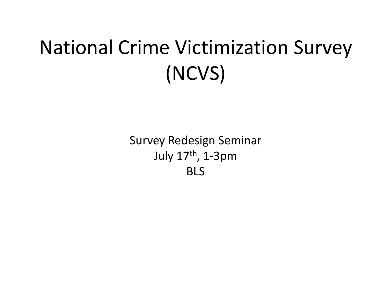#### National Crime Victimization Survey (NCVS)

Survey Redesign Seminar July 17th, 1-3pm BLS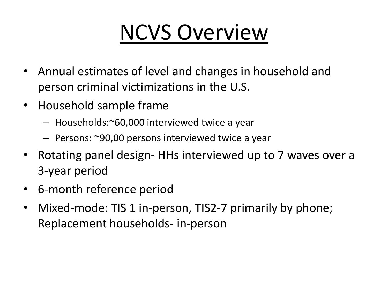# NCVS Overview

- Annual estimates of level and changes in household and person criminal victimizations in the U.S.
- Household sample frame
	- Households:~60,000 interviewed twice a year
	- Persons: ~90,00 persons interviewed twice a year
- Rotating panel design- HHs interviewed up to 7 waves over a 3-year period
- 6-month reference period
- Mixed-mode: TIS 1 in-person, TIS2-7 primarily by phone; Replacement households- in-person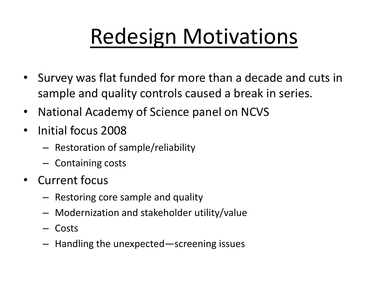# Redesign Motivations

- Survey was flat funded for more than a decade and cuts in sample and quality controls caused a break in series.
- National Academy of Science panel on NCVS
- Initial focus 2008
	- Restoration of sample/reliability
	- Containing costs
- Current focus
	- Restoring core sample and quality
	- Modernization and stakeholder utility/value
	- Costs
	- Handling the unexpected—screening issues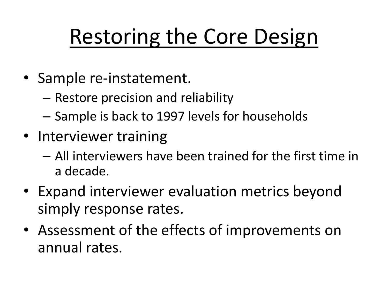# Restoring the Core Design

- Sample re-instatement.
	- Restore precision and reliability
	- Sample is back to 1997 levels for households
- Interviewer training
	- All interviewers have been trained for the first time in a decade.
- Expand interviewer evaluation metrics beyond simply response rates.
- Assessment of the effects of improvements on annual rates.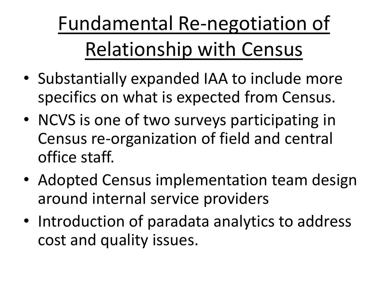Fundamental Re-negotiation of Relationship with Census

- Substantially expanded IAA to include more specifics on what is expected from Census.
- NCVS is one of two surveys participating in Census re-organization of field and central office staff.
- Adopted Census implementation team design around internal service providers
- Introduction of paradata analytics to address cost and quality issues.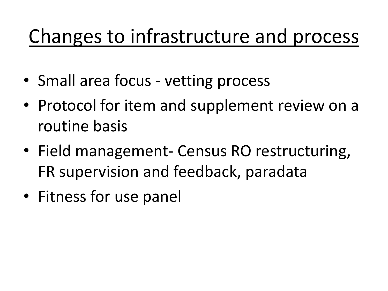#### Changes to infrastructure and process

- Small area focus vetting process
- Protocol for item and supplement review on a routine basis
- Field management- Census RO restructuring, FR supervision and feedback, paradata
- Fitness for use panel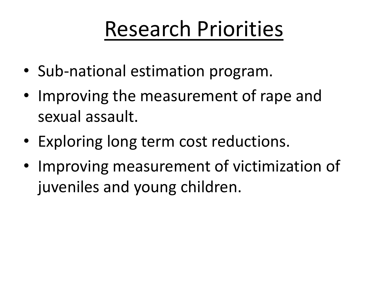#### Research Priorities

- Sub-national estimation program.
- Improving the measurement of rape and sexual assault.
- Exploring long term cost reductions.
- Improving measurement of victimization of juveniles and young children.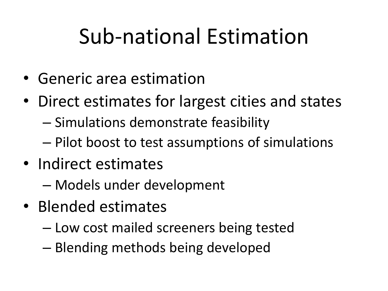#### Sub-national Estimation

- Generic area estimation
- Direct estimates for largest cities and states
	- Simulations demonstrate feasibility
	- Pilot boost to test assumptions of simulations
- Indirect estimates
	- Models under development
- Blended estimates
	- Low cost mailed screeners being tested
	- Blending methods being developed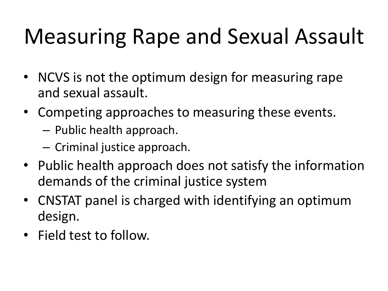# Measuring Rape and Sexual Assault

- NCVS is not the optimum design for measuring rape and sexual assault.
- Competing approaches to measuring these events.
	- Public health approach.
	- Criminal justice approach.
- Public health approach does not satisfy the information demands of the criminal justice system
- CNSTAT panel is charged with identifying an optimum design.
- Field test to follow.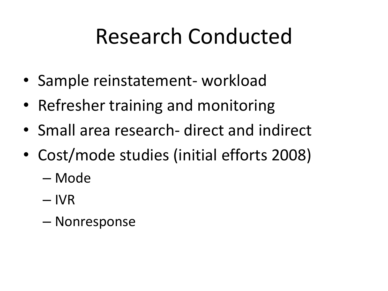#### Research Conducted

- Sample reinstatement- workload
- Refresher training and monitoring
- Small area research- direct and indirect
- Cost/mode studies (initial efforts 2008)
	- Mode
	- IVR
	- Nonresponse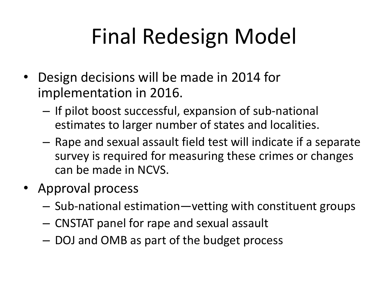# Final Redesign Model

- Design decisions will be made in 2014 for implementation in 2016.
	- If pilot boost successful, expansion of sub-national estimates to larger number of states and localities.
	- Rape and sexual assault field test will indicate if a separate survey is required for measuring these crimes or changes can be made in NCVS.
- Approval process
	- Sub-national estimation—vetting with constituent groups
	- CNSTAT panel for rape and sexual assault
	- DOJ and OMB as part of the budget process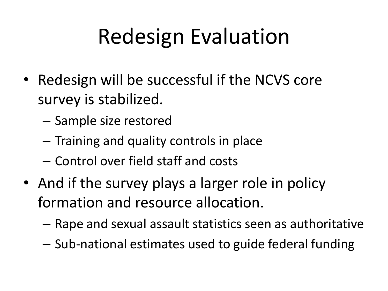# Redesign Evaluation

- Redesign will be successful if the NCVS core survey is stabilized.
	- Sample size restored
	- Training and quality controls in place
	- Control over field staff and costs
- And if the survey plays a larger role in policy formation and resource allocation.
	- Rape and sexual assault statistics seen as authoritative
	- Sub-national estimates used to guide federal funding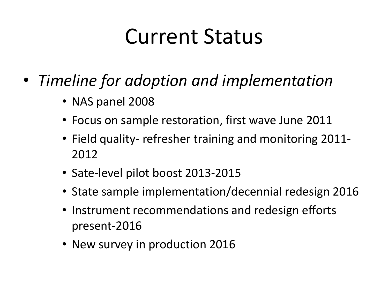#### Current Status

- *Timeline for adoption and implementation* 
	- NAS panel 2008
	- Focus on sample restoration, first wave June 2011
	- Field quality- refresher training and monitoring 2011- 2012
	- Sate-level pilot boost 2013-2015
	- State sample implementation/decennial redesign 2016
	- Instrument recommendations and redesign efforts present-2016
	- New survey in production 2016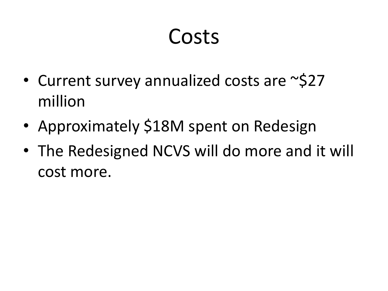#### Costs

- Current survey annualized costs are ~\$27 million
- Approximately \$18M spent on Redesign
- The Redesigned NCVS will do more and it will cost more.